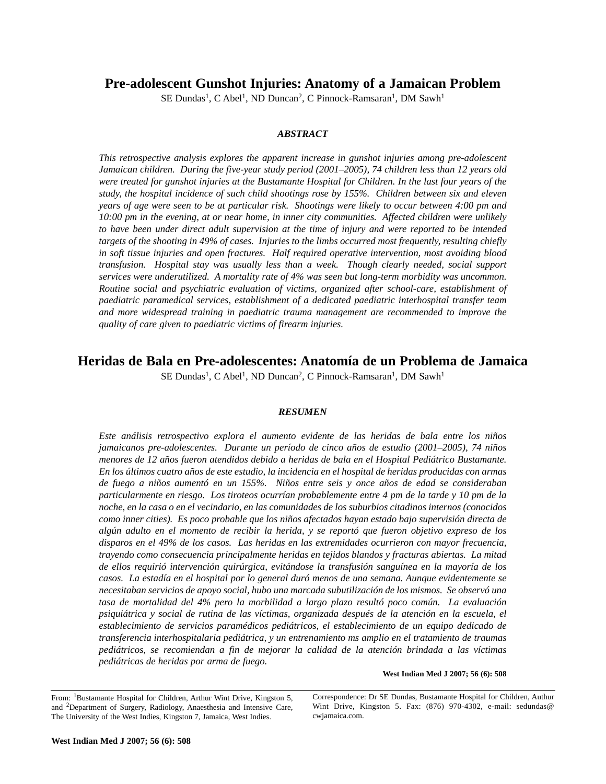## **Pre-adolescent Gunshot Injuries: Anatomy of a Jamaican Problem**

SE Dundas<sup>1</sup>, C Abel<sup>1</sup>, ND Duncan<sup>2</sup>, C Pinnock-Ramsaran<sup>1</sup>, DM Sawh<sup>1</sup>

### *ABSTRACT*

*This retrospective analysis explores the apparent increase in gunshot injuries among pre-adolescent Jamaican children. During the five-year study period (2001–2005), 74 children less than 12 years old were treated for gunshot injuries at the Bustamante Hospital for Children. In the last four years of the study, the hospital incidence of such child shootings rose by 155%. Children between six and eleven years of age were seen to be at particular risk. Shootings were likely to occur between 4:00 pm and 10:00 pm in the evening, at or near home, in inner city communities. Affected children were unlikely to have been under direct adult supervision at the time of injury and were reported to be intended targets of the shooting in 49% of cases. Injuries to the limbs occurred most frequently, resulting chiefly in soft tissue injuries and open fractures. Half required operative intervention, most avoiding blood transfusion. Hospital stay was usually less than a week. Though clearly needed, social support services were underutilized. A mortality rate of 4% was seen but long-term morbidity was uncommon. Routine social and psychiatric evaluation of victims, organized after school-care, establishment of paediatric paramedical services, establishment of a dedicated paediatric interhospital transfer team and more widespread training in paediatric trauma management are recommended to improve the quality of care given to paediatric victims of firearm injuries.*

# **Heridas de Bala en Pre-adolescentes: Anatomía de un Problema de Jamaica**

SE Dundas<sup>1</sup>, C Abel<sup>1</sup>, ND Duncan<sup>2</sup>, C Pinnock-Ramsaran<sup>1</sup>, DM Sawh<sup>1</sup>

#### *RESUMEN*

*Este análisis retrospectivo explora el aumento evidente de las heridas de bala entre los niños jamaicanos pre-adolescentes. Durante un período de cinco años de estudio (2001–2005), 74 niños menores de 12 años fueron atendidos debido a heridas de bala en el Hospital Pediátrico Bustamante. En los últimos cuatro años de este estudio, la incidencia en el hospital de heridas producidas con armas de fuego a niños aumentó en un 155%. Niños entre seis y once años de edad se consideraban particularmente en riesgo. Los tiroteos ocurrían probablemente entre 4 pm de la tarde y 10 pm de la noche, en la casa o en el vecindario, en las comunidades de los suburbios citadinos internos (conocidos como inner cities). Es poco probable que los niños afectados hayan estado bajo supervisión directa de algún adulto en el momento de recibir la herida, y se reportó que fueron objetivo expreso de los disparos en el 49% de los casos. Las heridas en las extremidades ocurrieron con mayor frecuencia, trayendo como consecuencia principalmente heridas en tejidos blandos y fracturas abiertas. La mitad de ellos requirió intervención quirúrgica, evitándose la transfusión sanguínea en la mayoría de los casos. La estadía en el hospital por lo general duró menos de una semana. Aunque evidentemente se necesitaban servicios de apoyo social, hubo una marcada subutilización de los mismos. Se observó una tasa de mortalidad del 4% pero la morbilidad a largo plazo resultó poco común. La evaluación psiquiátrica y social de rutina de las víctimas, organizada después de la atención en la escuela, el establecimiento de servicios paramédicos pediátricos, el establecimiento de un equipo dedicado de transferencia interhospitalaria pediátrica, y un entrenamiento ms amplio en el tratamiento de traumas pediátricos, se recomiendan a fin de mejorar la calidad de la atención brindada a las víctimas pediátricas de heridas por arma de fuego.*

**West Indian Med J 2007; 56 (6): 508**

Correspondence: Dr SE Dundas, Bustamante Hospital for Children, Authur Wint Drive, Kingston 5. Fax: (876) 970-4302, e-mail: sedundas@ cwjamaica.com.

From: 1Bustamante Hospital for Children, Arthur Wint Drive, Kingston 5, and 2Department of Surgery, Radiology, Anaesthesia and Intensive Care, The University of the West Indies, Kingston 7, Jamaica, West Indies.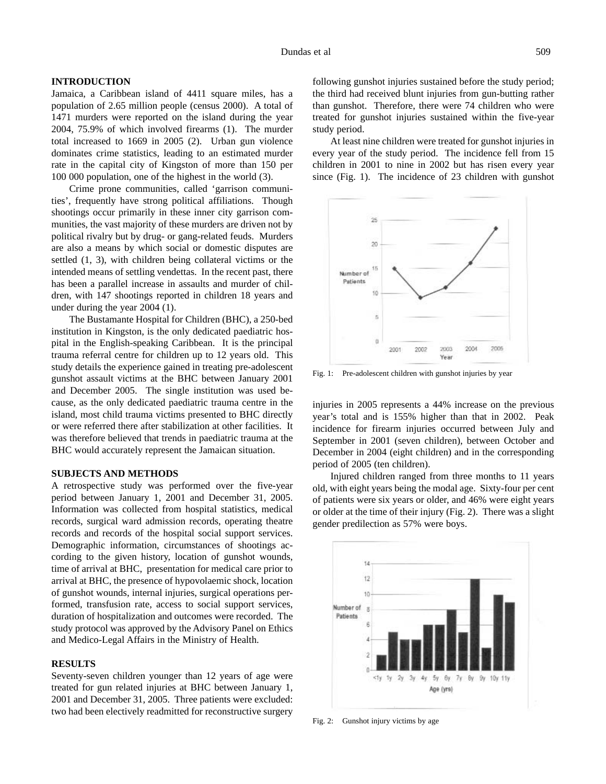#### **INTRODUCTION**

Jamaica, a Caribbean island of 4411 square miles, has a population of 2.65 million people (census 2000). A total of 1471 murders were reported on the island during the year 2004, 75.9% of which involved firearms (1). The murder total increased to 1669 in 2005 (2). Urban gun violence dominates crime statistics, leading to an estimated murder rate in the capital city of Kingston of more than 150 per 100 000 population, one of the highest in the world (3).

Crime prone communities, called 'garrison communities', frequently have strong political affiliations. Though shootings occur primarily in these inner city garrison communities, the vast majority of these murders are driven not by political rivalry but by drug- or gang-related feuds. Murders are also a means by which social or domestic disputes are settled (1, 3), with children being collateral victims or the intended means of settling vendettas. In the recent past, there has been a parallel increase in assaults and murder of children, with 147 shootings reported in children 18 years and under during the year 2004 (1).

The Bustamante Hospital for Children (BHC), a 250-bed institution in Kingston, is the only dedicated paediatric hospital in the English-speaking Caribbean. It is the principal trauma referral centre for children up to 12 years old. This study details the experience gained in treating pre-adolescent gunshot assault victims at the BHC between January 2001 and December 2005. The single institution was used because, as the only dedicated paediatric trauma centre in the island, most child trauma victims presented to BHC directly or were referred there after stabilization at other facilities. It was therefore believed that trends in paediatric trauma at the BHC would accurately represent the Jamaican situation.

### **SUBJECTS AND METHODS**

A retrospective study was performed over the five-year period between January 1, 2001 and December 31, 2005. Information was collected from hospital statistics, medical records, surgical ward admission records, operating theatre records and records of the hospital social support services. Demographic information, circumstances of shootings according to the given history, location of gunshot wounds, time of arrival at BHC, presentation for medical care prior to arrival at BHC, the presence of hypovolaemic shock, location of gunshot wounds, internal injuries, surgical operations performed, transfusion rate, access to social support services, duration of hospitalization and outcomes were recorded. The study protocol was approved by the Advisory Panel on Ethics and Medico-Legal Affairs in the Ministry of Health.

## **RESULTS**

Seventy-seven children younger than 12 years of age were treated for gun related injuries at BHC between January 1, 2001 and December 31, 2005. Three patients were excluded: two had been electively readmitted for reconstructive surgery following gunshot injuries sustained before the study period; the third had received blunt injuries from gun-butting rather than gunshot. Therefore, there were 74 children who were treated for gunshot injuries sustained within the five-year study period.

At least nine children were treated for gunshot injuries in every year of the study period. The incidence fell from 15 children in 2001 to nine in 2002 but has risen every year since (Fig. 1). The incidence of 23 children with gunshot



Fig. 1: Pre-adolescent children with gunshot injuries by year

injuries in 2005 represents a 44% increase on the previous year's total and is 155% higher than that in 2002. Peak incidence for firearm injuries occurred between July and September in 2001 (seven children), between October and December in 2004 (eight children) and in the corresponding period of 2005 (ten children).

Injured children ranged from three months to 11 years old, with eight years being the modal age. Sixty-four per cent of patients were six years or older, and 46% were eight years or older at the time of their injury (Fig. 2). There was a slight gender predilection as 57% were boys.



Fig. 2: Gunshot injury victims by age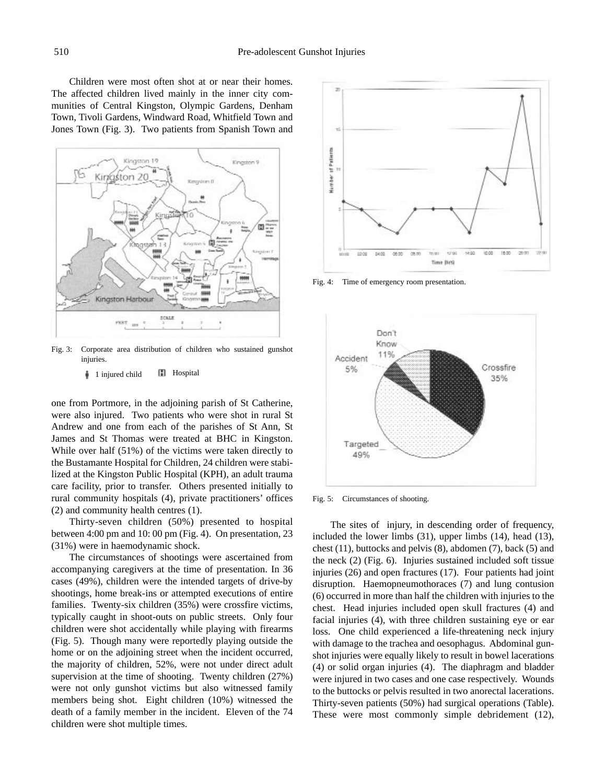Children were most often shot at or near their homes. The affected children lived mainly in the inner city communities of Central Kingston, Olympic Gardens, Denham Town, Tivoli Gardens, Windward Road, Whitfield Town and Jones Town (Fig. 3). Two patients from Spanish Town and



Fig. 3: Corporate area distribution of children who sustained gunshot injuries.

#### 1 injured child **H** Hospital

one from Portmore, in the adjoining parish of St Catherine, were also injured. Two patients who were shot in rural St Andrew and one from each of the parishes of St Ann, St James and St Thomas were treated at BHC in Kingston. While over half (51%) of the victims were taken directly to the Bustamante Hospital for Children, 24 children were stabilized at the Kingston Public Hospital (KPH), an adult trauma care facility, prior to transfer. Others presented initially to rural community hospitals (4), private practitioners' offices (2) and community health centres (1).

Thirty-seven children (50%) presented to hospital between 4:00 pm and 10: 00 pm (Fig. 4). On presentation, 23 (31%) were in haemodynamic shock.

The circumstances of shootings were ascertained from accompanying caregivers at the time of presentation. In 36 cases (49%), children were the intended targets of drive-by shootings, home break-ins or attempted executions of entire families. Twenty-six children (35%) were crossfire victims, typically caught in shoot-outs on public streets. Only four children were shot accidentally while playing with firearms (Fig. 5). Though many were reportedly playing outside the home or on the adjoining street when the incident occurred, the majority of children, 52%, were not under direct adult supervision at the time of shooting. Twenty children (27%) were not only gunshot victims but also witnessed family members being shot. Eight children (10%) witnessed the death of a family member in the incident. Eleven of the 74 children were shot multiple times.



Fig. 4: Time of emergency room presentation.



Fig. 5: Circumstances of shooting.

The sites of injury, in descending order of frequency, included the lower limbs (31), upper limbs (14), head (13), chest (11), buttocks and pelvis (8), abdomen (7), back (5) and the neck (2) (Fig. 6). Injuries sustained included soft tissue injuries (26) and open fractures (17). Four patients had joint disruption. Haemopneumothoraces (7) and lung contusion (6) occurred in more than half the children with injuries to the chest. Head injuries included open skull fractures (4) and facial injuries (4), with three children sustaining eye or ear loss. One child experienced a life-threatening neck injury with damage to the trachea and oesophagus. Abdominal gunshot injuries were equally likely to result in bowel lacerations (4) or solid organ injuries (4). The diaphragm and bladder were injured in two cases and one case respectively. Wounds to the buttocks or pelvis resulted in two anorectal lacerations. Thirty-seven patients (50%) had surgical operations (Table). These were most commonly simple debridement (12),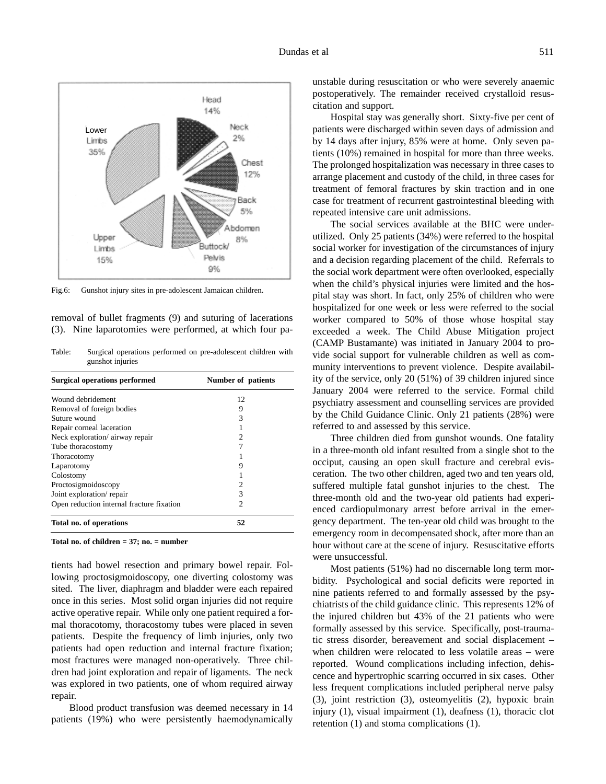

Fig.6: Gunshot injury sites in pre-adolescent Jamaican children.

removal of bullet fragments (9) and suturing of lacerations (3). Nine laparotomies were performed, at which four pa-

Table: Surgical operations performed on pre-adolescent children with gunshot injuries

| <b>Surgical operations performed</b>      | Number of patients |
|-------------------------------------------|--------------------|
| Wound debridement                         | 12                 |
| Removal of foreign bodies                 | 9                  |
| Suture wound                              | 3                  |
| Repair corneal laceration                 |                    |
| Neck exploration/airway repair            | 2                  |
| Tube thoracostomy                         |                    |
| Thoracotomy                               |                    |
| Laparotomy                                | 9                  |
| Colostomy                                 |                    |
| Proctosigmoidoscopy                       |                    |
| Joint exploration/repair                  | 3                  |
| Open reduction internal fracture fixation | 2                  |
| Total no. of operations                   | 52                 |

**Total no. of children = 37; no. = number**

tients had bowel resection and primary bowel repair. Following proctosigmoidoscopy, one diverting colostomy was sited. The liver, diaphragm and bladder were each repaired once in this series. Most solid organ injuries did not require active operative repair. While only one patient required a formal thoracotomy, thoracostomy tubes were placed in seven patients. Despite the frequency of limb injuries, only two patients had open reduction and internal fracture fixation; most fractures were managed non-operatively. Three children had joint exploration and repair of ligaments. The neck was explored in two patients, one of whom required airway repair.

Blood product transfusion was deemed necessary in 14 patients (19%) who were persistently haemodynamically

unstable during resuscitation or who were severely anaemic postoperatively. The remainder received crystalloid resuscitation and support.

Hospital stay was generally short. Sixty-five per cent of patients were discharged within seven days of admission and by 14 days after injury, 85% were at home. Only seven patients (10%) remained in hospital for more than three weeks. The prolonged hospitalization was necessary in three cases to arrange placement and custody of the child, in three cases for treatment of femoral fractures by skin traction and in one case for treatment of recurrent gastrointestinal bleeding with repeated intensive care unit admissions.

The social services available at the BHC were underutilized. Only 25 patients (34%) were referred to the hospital social worker for investigation of the circumstances of injury and a decision regarding placement of the child. Referrals to the social work department were often overlooked, especially when the child's physical injuries were limited and the hospital stay was short. In fact, only 25% of children who were hospitalized for one week or less were referred to the social worker compared to 50% of those whose hospital stay exceeded a week. The Child Abuse Mitigation project (CAMP Bustamante) was initiated in January 2004 to provide social support for vulnerable children as well as community interventions to prevent violence. Despite availability of the service, only 20 (51%) of 39 children injured since January 2004 were referred to the service. Formal child psychiatry assessment and counselling services are provided by the Child Guidance Clinic. Only 21 patients (28%) were referred to and assessed by this service.

Three children died from gunshot wounds. One fatality in a three-month old infant resulted from a single shot to the occiput, causing an open skull fracture and cerebral evisceration. The two other children, aged two and ten years old, suffered multiple fatal gunshot injuries to the chest. The three-month old and the two-year old patients had experienced cardiopulmonary arrest before arrival in the emergency department. The ten-year old child was brought to the emergency room in decompensated shock, after more than an hour without care at the scene of injury. Resuscitative efforts were unsuccessful.

Most patients (51%) had no discernable long term morbidity. Psychological and social deficits were reported in nine patients referred to and formally assessed by the psychiatrists of the child guidance clinic. This represents 12% of the injured children but 43% of the 21 patients who were formally assessed by this service. Specifically, post-traumatic stress disorder, bereavement and social displacement – when children were relocated to less volatile areas – were reported. Wound complications including infection, dehiscence and hypertrophic scarring occurred in six cases. Other less frequent complications included peripheral nerve palsy (3), joint restriction (3), osteomyelitis (2), hypoxic brain injury (1), visual impairment (1), deafness (1), thoracic clot retention (1) and stoma complications (1).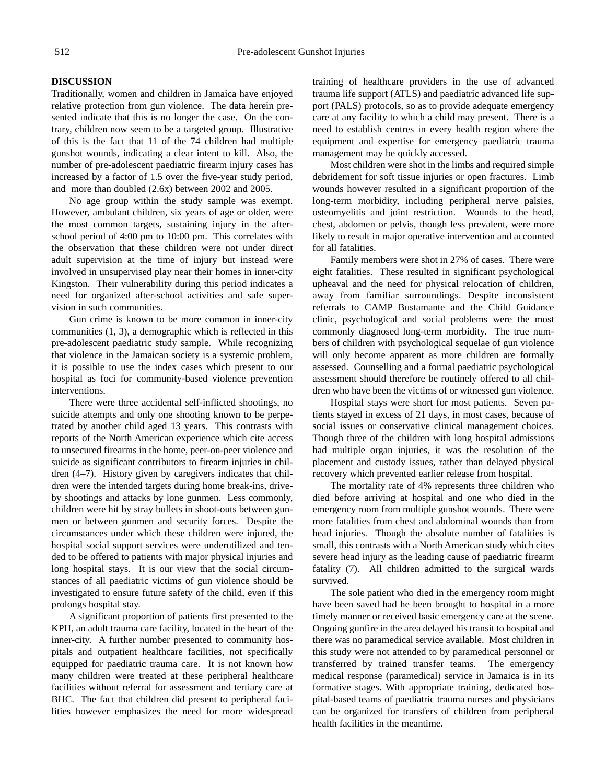## **DISCUSSION**

Traditionally, women and children in Jamaica have enjoyed relative protection from gun violence. The data herein presented indicate that this is no longer the case. On the contrary, children now seem to be a targeted group. Illustrative of this is the fact that 11 of the 74 children had multiple gunshot wounds, indicating a clear intent to kill. Also, the number of pre-adolescent paediatric firearm injury cases has increased by a factor of 1.5 over the five-year study period, and more than doubled (2.6x) between 2002 and 2005.

No age group within the study sample was exempt. However, ambulant children, six years of age or older, were the most common targets, sustaining injury in the afterschool period of 4:00 pm to 10:00 pm. This correlates with the observation that these children were not under direct adult supervision at the time of injury but instead were involved in unsupervised play near their homes in inner-city Kingston. Their vulnerability during this period indicates a need for organized after-school activities and safe supervision in such communities.

Gun crime is known to be more common in inner-city communities (1, 3), a demographic which is reflected in this pre-adolescent paediatric study sample. While recognizing that violence in the Jamaican society is a systemic problem, it is possible to use the index cases which present to our hospital as foci for community-based violence prevention interventions.

There were three accidental self-inflicted shootings, no suicide attempts and only one shooting known to be perpetrated by another child aged 13 years. This contrasts with reports of the North American experience which cite access to unsecured firearms in the home, peer-on-peer violence and suicide as significant contributors to firearm injuries in children (4–7). History given by caregivers indicates that children were the intended targets during home break-ins, driveby shootings and attacks by lone gunmen. Less commonly, children were hit by stray bullets in shoot-outs between gunmen or between gunmen and security forces. Despite the circumstances under which these children were injured, the hospital social support services were underutilized and tended to be offered to patients with major physical injuries and long hospital stays. It is our view that the social circumstances of all paediatric victims of gun violence should be investigated to ensure future safety of the child, even if this prolongs hospital stay.

A significant proportion of patients first presented to the KPH, an adult trauma care facility, located in the heart of the inner-city. A further number presented to community hospitals and outpatient healthcare facilities, not specifically equipped for paediatric trauma care. It is not known how many children were treated at these peripheral healthcare facilities without referral for assessment and tertiary care at BHC. The fact that children did present to peripheral facilities however emphasizes the need for more widespread training of healthcare providers in the use of advanced trauma life support (ATLS) and paediatric advanced life support (PALS) protocols, so as to provide adequate emergency care at any facility to which a child may present. There is a need to establish centres in every health region where the equipment and expertise for emergency paediatric trauma management may be quickly accessed.

Most children were shot in the limbs and required simple debridement for soft tissue injuries or open fractures. Limb wounds however resulted in a significant proportion of the long-term morbidity, including peripheral nerve palsies, osteomyelitis and joint restriction. Wounds to the head, chest, abdomen or pelvis, though less prevalent, were more likely to result in major operative intervention and accounted for all fatalities.

Family members were shot in 27% of cases. There were eight fatalities. These resulted in significant psychological upheaval and the need for physical relocation of children, away from familiar surroundings. Despite inconsistent referrals to CAMP Bustamante and the Child Guidance clinic, psychological and social problems were the most commonly diagnosed long-term morbidity. The true numbers of children with psychological sequelae of gun violence will only become apparent as more children are formally assessed. Counselling and a formal paediatric psychological assessment should therefore be routinely offered to all children who have been the victims of or witnessed gun violence.

Hospital stays were short for most patients. Seven patients stayed in excess of 21 days, in most cases, because of social issues or conservative clinical management choices. Though three of the children with long hospital admissions had multiple organ injuries, it was the resolution of the placement and custody issues, rather than delayed physical recovery which prevented earlier release from hospital.

The mortality rate of 4% represents three children who died before arriving at hospital and one who died in the emergency room from multiple gunshot wounds. There were more fatalities from chest and abdominal wounds than from head injuries. Though the absolute number of fatalities is small, this contrasts with a North American study which cites severe head injury as the leading cause of paediatric firearm fatality (7). All children admitted to the surgical wards survived.

The sole patient who died in the emergency room might have been saved had he been brought to hospital in a more timely manner or received basic emergency care at the scene. Ongoing gunfire in the area delayed his transit to hospital and there was no paramedical service available. Most children in this study were not attended to by paramedical personnel or transferred by trained transfer teams. The emergency medical response (paramedical) service in Jamaica is in its formative stages. With appropriate training, dedicated hospital-based teams of paediatric trauma nurses and physicians can be organized for transfers of children from peripheral health facilities in the meantime.